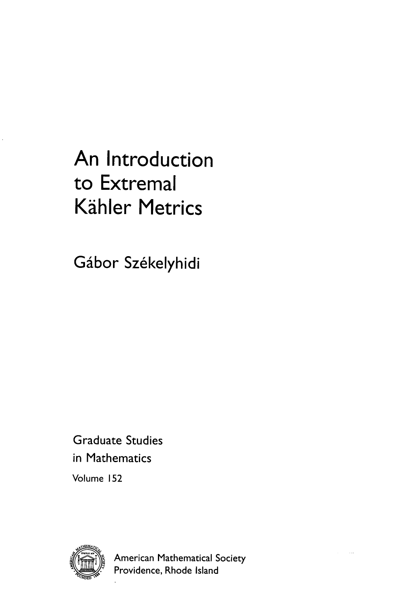## An Introduction to Extremal **Kähler Metrics**

Gábor Székelyhidi

**Graduate Studies** in Mathematics

Volume 152



**American Mathematical Society** Providence, Rhode Island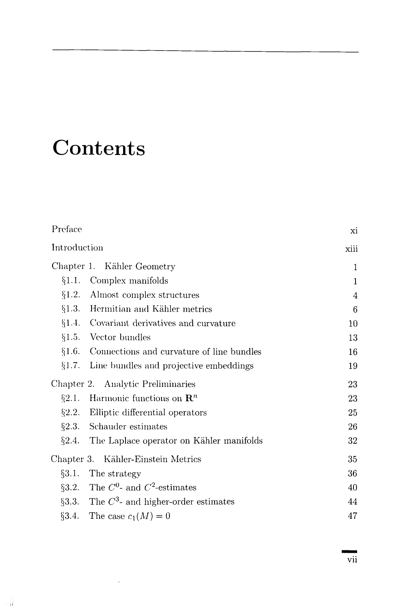## **Contents**

 $\sim 1$ 

| Preface                                            | xi           |
|----------------------------------------------------|--------------|
| Introduction                                       | xiii         |
| Chapter 1. Kähler Geometry                         | 1            |
| Complex manifolds<br>§1.1.                         | $\mathbf{1}$ |
| §1.2.<br>Almost complex structures                 | 4            |
| $\S1.3.$ Hermitian and Kähler metrics              | 6            |
| $\S1.4.$ Covariant derivatives and curvature       | 10           |
| §1.5. Vector bundles                               | 13           |
| $§1.6.$ Connections and curvature of line bundles  | 16           |
| Line bundles and projective embeddings<br>§1.7.    | 19           |
| Chapter 2. Analytic Preliminaries                  | 23           |
| §2.1. Harmonic functions on $\mathbb{R}^n$         | 23           |
| $\S2.2$ . Elliptic differential operators          | 25           |
| §2.3. Schauder estimates                           | 26           |
| $\S2.4$ . The Laplace operator on Kähler manifolds | 32           |
| Chapter 3. Kähler-Einstein Metrics                 | 35           |
| §3.1.<br>The strategy                              | 36           |
| §3.2. The $C^0$ - and $C^2$ -estimates             | 40           |
| §3.3. The $C^3$ - and higher-order estimates       | 44           |
| §3.4. The case $c_1(M) = 0$                        | 47           |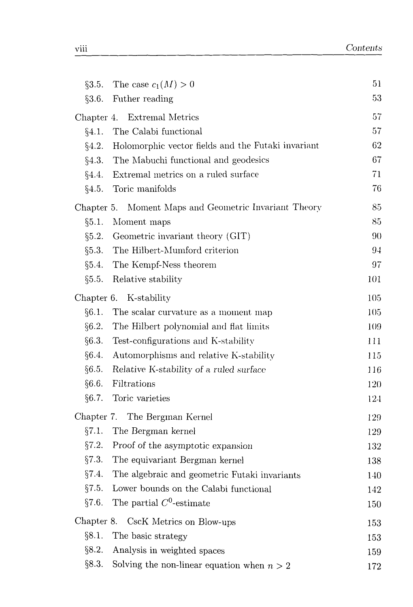| §3.5.                  | The case $c_1(M) > 0$                              | 51  |
|------------------------|----------------------------------------------------|-----|
| §3.6.                  | Futher reading                                     | 53  |
|                        | Chapter 4. Extremal Metrics                        | 57  |
| §4.1.                  | The Calabi functional                              | 57  |
| §4.2.                  | Holomorphic vector fields and the Futaki invariant | 62  |
| §4.3.                  | The Mabuchi functional and geodesics               | 67  |
| §4.4.                  | Extremal metrics on a ruled surface                | 71  |
| §4.5.                  | Toric manifolds                                    | 76  |
| Chapter 5.             | Moment Maps and Geometric Invariant Theory         | 85  |
| §5.1.                  | Moment maps                                        | 85  |
|                        | $\S5.2.$ Geometric invariant theory (GIT)          | 90  |
| $\S 5.3.$              | The Hilbert-Mumford criterion                      | 94  |
| §5.4.                  | The Kempf-Ness theorem                             | 97  |
| §5.5.                  | Relative stability                                 | 101 |
| Chapter 6. K-stability |                                                    | 105 |
| §6.1.                  | The scalar curvature as a moment map               | 105 |
| §6.2.                  | The Hilbert polynomial and flat limits             | 109 |
| §6.3.                  | Test-configurations and K-stability                | 111 |
| §6.4.                  | Automorphisms and relative K-stability             | 115 |
| §6.5.                  | Relative K-stability of a ruled surface            | 116 |
| §6.6.                  | Filtrations                                        | 120 |
| §6.7.                  | Toric varieties                                    | 124 |
|                        | Chapter 7. The Bergman Kernel                      | 129 |
| §7.1.                  | The Bergman kernel                                 | 129 |
|                        | $\S 7.2.$ Proof of the asymptotic expansion        | 132 |
| §7.3.                  | The equivariant Bergman kernel                     | 138 |
| §7.4.                  | The algebraic and geometric Futaki invariants      | 140 |
| §7.5.                  | Lower bounds on the Calabi functional              | 142 |
| §7.6.                  | The partial $C^0$ -estimate                        | 150 |
|                        | Chapter 8. CscK Metrics on Blow-ups                | 153 |
| §8.1.                  | The basic strategy                                 | 153 |
| §8.2.                  | Analysis in weighted spaces                        | 159 |
| §8.3.                  | Solving the non-linear equation when $n > 2$       | 172 |